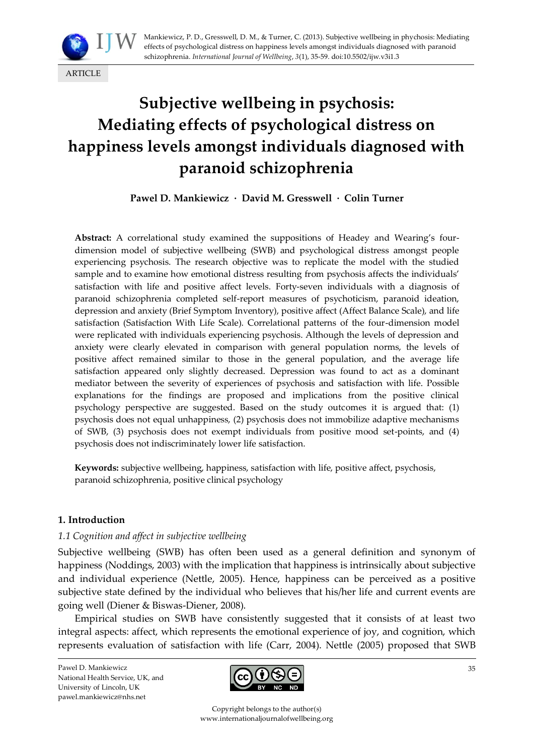

# **Subjective wellbeing in psychosis: Mediating effects of psychological distress on happiness levels amongst individuals diagnosed with paranoid schizophrenia**

**Pawel D. Mankiewicz · David M. Gresswell · Colin Turner**

**Abstract:** A correlational study examined the suppositions of Headey and Wearing's fourdimension model of subjective wellbeing (SWB) and psychological distress amongst people experiencing psychosis. The research objective was to replicate the model with the studied sample and to examine how emotional distress resulting from psychosis affects the individuals' satisfaction with life and positive affect levels. Forty-seven individuals with a diagnosis of paranoid schizophrenia completed self-report measures of psychoticism, paranoid ideation, depression and anxiety (Brief Symptom Inventory), positive affect (Affect Balance Scale), and life satisfaction (Satisfaction With Life Scale). Correlational patterns of the four-dimension model were replicated with individuals experiencing psychosis. Although the levels of depression and anxiety were clearly elevated in comparison with general population norms, the levels of positive affect remained similar to those in the general population, and the average life satisfaction appeared only slightly decreased. Depression was found to act as a dominant mediator between the severity of experiences of psychosis and satisfaction with life. Possible explanations for the findings are proposed and implications from the positive clinical psychology perspective are suggested. Based on the study outcomes it is argued that: (1) psychosis does not equal unhappiness, (2) psychosis does not immobilize adaptive mechanisms of SWB, (3) psychosis does not exempt individuals from positive mood set-points, and (4) psychosis does not indiscriminately lower life satisfaction.

**Keywords:** subjective wellbeing, happiness, satisfaction with life, positive affect, psychosis, paranoid schizophrenia, positive clinical psychology

## **1. Introduction**

## *1.1 Cognition and affect in subjective wellbeing*

Subjective wellbeing (SWB) has often been used as a general definition and synonym of happiness (Noddings, 2003) with the implication that happiness is intrinsically about subjective and individual experience (Nettle, 2005). Hence, happiness can be perceived as a positive subjective state defined by the individual who believes that his/her life and current events are going well (Diener & Biswas-Diener, 2008).

Empirical studies on SWB have consistently suggested that it consists of at least two integral aspects: affect, which represents the emotional experience of joy, and cognition, which represents evaluation of satisfaction with life (Carr, 2004). Nettle (2005) proposed that SWB

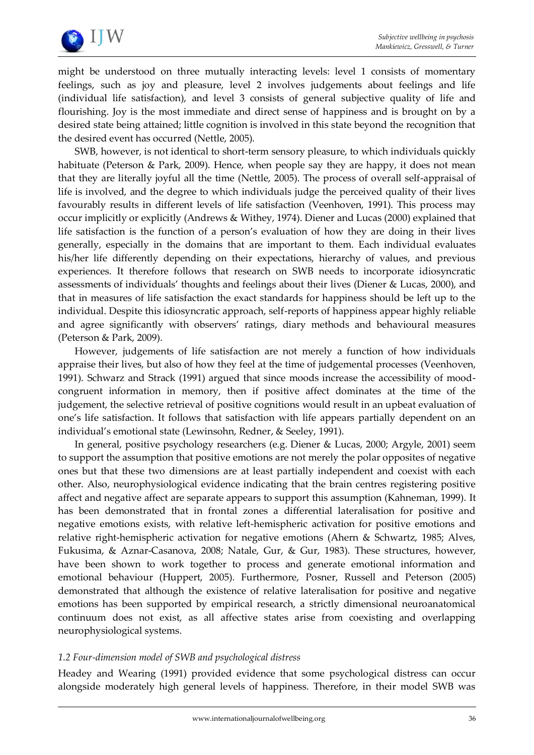

might be understood on three mutually interacting levels: level 1 consists of momentary feelings, such as joy and pleasure, level 2 involves judgements about feelings and life (individual life satisfaction), and level 3 consists of general subjective quality of life and flourishing. Joy is the most immediate and direct sense of happiness and is brought on by a desired state being attained; little cognition is involved in this state beyond the recognition that the desired event has occurred (Nettle, 2005).

SWB, however, is not identical to short-term sensory pleasure, to which individuals quickly habituate (Peterson & Park, 2009). Hence, when people say they are happy, it does not mean that they are literally joyful all the time (Nettle, 2005). The process of overall self-appraisal of life is involved, and the degree to which individuals judge the perceived quality of their lives favourably results in different levels of life satisfaction (Veenhoven, 1991). This process may occur implicitly or explicitly (Andrews & Withey, 1974). Diener and Lucas (2000) explained that life satisfaction is the function of a person's evaluation of how they are doing in their lives generally, especially in the domains that are important to them. Each individual evaluates his/her life differently depending on their expectations, hierarchy of values, and previous experiences. It therefore follows that research on SWB needs to incorporate idiosyncratic assessments of individuals' thoughts and feelings about their lives (Diener & Lucas, 2000), and that in measures of life satisfaction the exact standards for happiness should be left up to the individual. Despite this idiosyncratic approach, self-reports of happiness appear highly reliable and agree significantly with observers' ratings, diary methods and behavioural measures (Peterson & Park, 2009).

However, judgements of life satisfaction are not merely a function of how individuals appraise their lives, but also of how they feel at the time of judgemental processes (Veenhoven, 1991). Schwarz and Strack (1991) argued that since moods increase the accessibility of moodcongruent information in memory, then if positive affect dominates at the time of the judgement, the selective retrieval of positive cognitions would result in an upbeat evaluation of one's life satisfaction. It follows that satisfaction with life appears partially dependent on an individual's emotional state (Lewinsohn, Redner, & Seeley, 1991).

In general, positive psychology researchers (e.g. Diener & Lucas, 2000; Argyle, 2001) seem to support the assumption that positive emotions are not merely the polar opposites of negative ones but that these two dimensions are at least partially independent and coexist with each other. Also, neurophysiological evidence indicating that the brain centres registering positive affect and negative affect are separate appears to support this assumption (Kahneman, 1999). It has been demonstrated that in frontal zones a differential lateralisation for positive and negative emotions exists, with relative left-hemispheric activation for positive emotions and relative right-hemispheric activation for negative emotions (Ahern & Schwartz, 1985; Alves, Fukusima, & Aznar-Casanova, 2008; Natale, Gur, & Gur, 1983). These structures, however, have been shown to work together to process and generate emotional information and emotional behaviour (Huppert, 2005). Furthermore, Posner, Russell and Peterson (2005) demonstrated that although the existence of relative lateralisation for positive and negative emotions has been supported by empirical research, a strictly dimensional neuroanatomical continuum does not exist, as all affective states arise from coexisting and overlapping neurophysiological systems.

## *1.2 Four-dimension model of SWB and psychological distress*

Headey and Wearing (1991) provided evidence that some psychological distress can occur alongside moderately high general levels of happiness. Therefore, in their model SWB was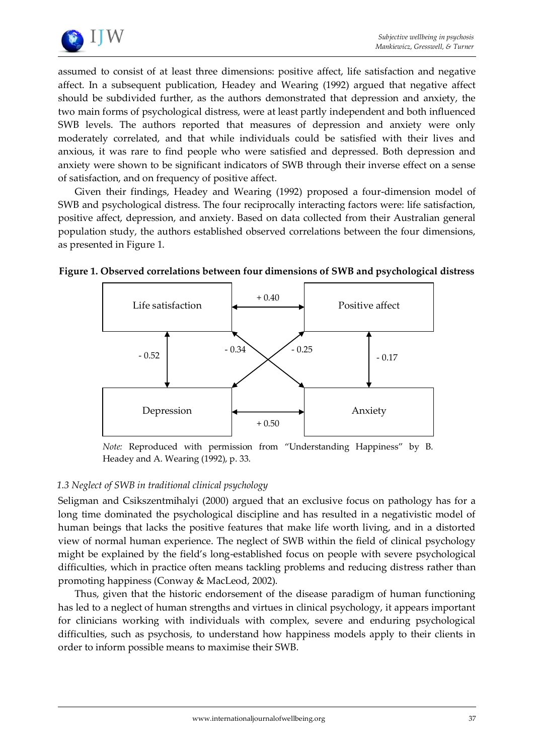

assumed to consist of at least three dimensions: positive affect, life satisfaction and negative affect. In a subsequent publication, Headey and Wearing (1992) argued that negative affect should be subdivided further, as the authors demonstrated that depression and anxiety, the two main forms of psychological distress, were at least partly independent and both influenced SWB levels. The authors reported that measures of depression and anxiety were only moderately correlated, and that while individuals could be satisfied with their lives and anxious, it was rare to find people who were satisfied and depressed. Both depression and anxiety were shown to be significant indicators of SWB through their inverse effect on a sense of satisfaction, and on frequency of positive affect.

Given their findings, Headey and Wearing (1992) proposed a four-dimension model of SWB and psychological distress. The four reciprocally interacting factors were: life satisfaction, positive affect, depression, and anxiety. Based on data collected from their Australian general population study, the authors established observed correlations between the four dimensions, as presented in Figure 1.



## **Figure 1. Observed correlations between four dimensions of SWB and psychological distress**

*Note:* Reproduced with permission from 'Understanding Happiness' by B. Headey and A. Wearing (1992), p. 33.

## *1.3 Neglect of SWB in traditional clinical psychology*

Seligman and Csikszentmihalyi (2000) argued that an exclusive focus on pathology has for a long time dominated the psychological discipline and has resulted in a negativistic model of human beings that lacks the positive features that make life worth living, and in a distorted view of normal human experience. The neglect of SWB within the field of clinical psychology might be explained by the field's long-established focus on people with severe psychological difficulties, which in practice often means tackling problems and reducing distress rather than promoting happiness (Conway & MacLeod, 2002).

Thus, given that the historic endorsement of the disease paradigm of human functioning has led to a neglect of human strengths and virtues in clinical psychology, it appears important for clinicians working with individuals with complex, severe and enduring psychological difficulties, such as psychosis, to understand how happiness models apply to their clients in order to inform possible means to maximise their SWB.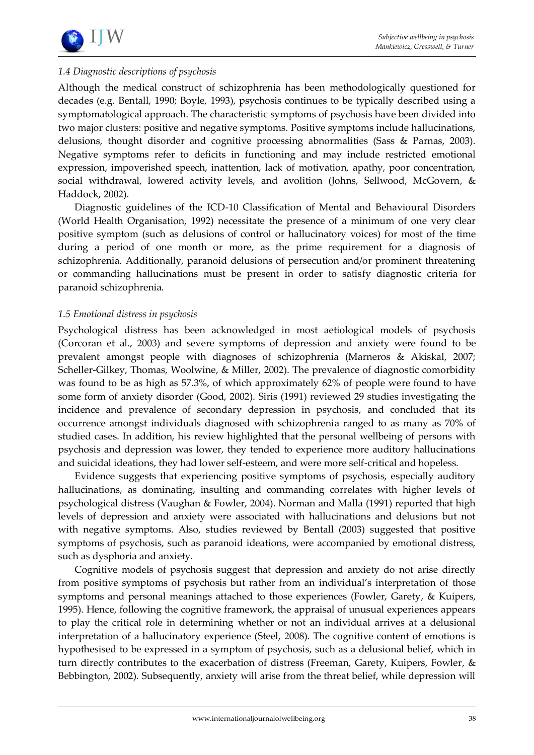

# *1.4 Diagnostic descriptions of psychosis*

Although the medical construct of schizophrenia has been methodologically questioned for decades (e.g. Bentall, 1990; Boyle, 1993), psychosis continues to be typically described using a symptomatological approach. The characteristic symptoms of psychosis have been divided into two major clusters: positive and negative symptoms. Positive symptoms include hallucinations, delusions, thought disorder and cognitive processing abnormalities (Sass & Parnas, 2003). Negative symptoms refer to deficits in functioning and may include restricted emotional expression, impoverished speech, inattention, lack of motivation, apathy, poor concentration, social withdrawal, lowered activity levels, and avolition (Johns, Sellwood, McGovern, & Haddock, 2002).

Diagnostic guidelines of the ICD-10 Classification of Mental and Behavioural Disorders (World Health Organisation, 1992) necessitate the presence of a minimum of one very clear positive symptom (such as delusions of control or hallucinatory voices) for most of the time during a period of one month or more, as the prime requirement for a diagnosis of schizophrenia. Additionally, paranoid delusions of persecution and/or prominent threatening or commanding hallucinations must be present in order to satisfy diagnostic criteria for paranoid schizophrenia.

## *1.5 Emotional distress in psychosis*

Psychological distress has been acknowledged in most aetiological models of psychosis (Corcoran et al., 2003) and severe symptoms of depression and anxiety were found to be prevalent amongst people with diagnoses of schizophrenia (Marneros & Akiskal, 2007; Scheller-Gilkey, Thomas, Woolwine, & Miller, 2002). The prevalence of diagnostic comorbidity was found to be as high as 57.3%, of which approximately 62% of people were found to have some form of anxiety disorder (Good, 2002). Siris (1991) reviewed 29 studies investigating the incidence and prevalence of secondary depression in psychosis, and concluded that its occurrence amongst individuals diagnosed with schizophrenia ranged to as many as 70% of studied cases. In addition, his review highlighted that the personal wellbeing of persons with psychosis and depression was lower, they tended to experience more auditory hallucinations and suicidal ideations, they had lower self-esteem, and were more self-critical and hopeless.

Evidence suggests that experiencing positive symptoms of psychosis, especially auditory hallucinations, as dominating, insulting and commanding correlates with higher levels of psychological distress (Vaughan & Fowler, 2004). Norman and Malla (1991) reported that high levels of depression and anxiety were associated with hallucinations and delusions but not with negative symptoms. Also, studies reviewed by Bentall (2003) suggested that positive symptoms of psychosis, such as paranoid ideations, were accompanied by emotional distress, such as dysphoria and anxiety.

Cognitive models of psychosis suggest that depression and anxiety do not arise directly from positive symptoms of psychosis but rather from an individual's interpretation of those symptoms and personal meanings attached to those experiences (Fowler, Garety, & Kuipers, 1995). Hence, following the cognitive framework, the appraisal of unusual experiences appears to play the critical role in determining whether or not an individual arrives at a delusional interpretation of a hallucinatory experience (Steel, 2008). The cognitive content of emotions is hypothesised to be expressed in a symptom of psychosis, such as a delusional belief, which in turn directly contributes to the exacerbation of distress (Freeman, Garety, Kuipers, Fowler, & Bebbington, 2002). Subsequently, anxiety will arise from the threat belief, while depression will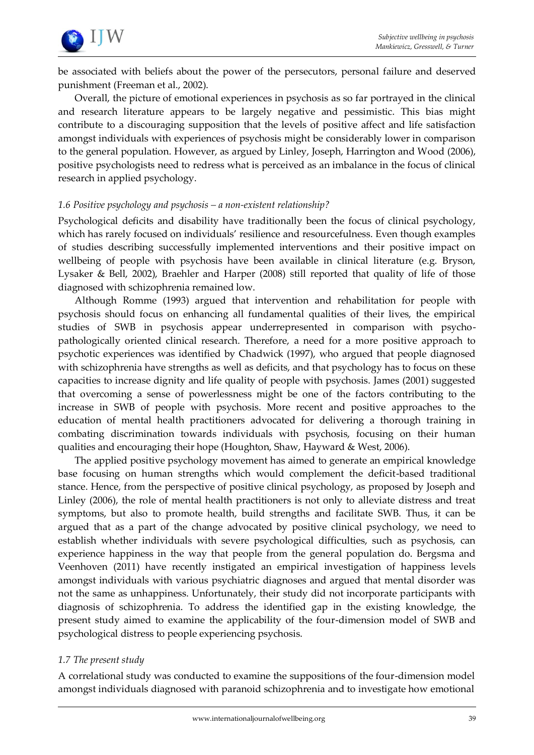

be associated with beliefs about the power of the persecutors, personal failure and deserved punishment (Freeman et al., 2002).

Overall, the picture of emotional experiences in psychosis as so far portrayed in the clinical and research literature appears to be largely negative and pessimistic. This bias might contribute to a discouraging supposition that the levels of positive affect and life satisfaction amongst individuals with experiences of psychosis might be considerably lower in comparison to the general population. However, as argued by Linley, Joseph, Harrington and Wood (2006), positive psychologists need to redress what is perceived as an imbalance in the focus of clinical research in applied psychology.

## *1.6 Positive psychology and psychosis – a non-existent relationship?*

Psychological deficits and disability have traditionally been the focus of clinical psychology, which has rarely focused on individuals' resilience and resourcefulness. Even though examples of studies describing successfully implemented interventions and their positive impact on wellbeing of people with psychosis have been available in clinical literature (e.g. Bryson, Lysaker & Bell, 2002), Braehler and Harper (2008) still reported that quality of life of those diagnosed with schizophrenia remained low.

Although Romme (1993) argued that intervention and rehabilitation for people with psychosis should focus on enhancing all fundamental qualities of their lives, the empirical studies of SWB in psychosis appear underrepresented in comparison with psychopathologically oriented clinical research. Therefore, a need for a more positive approach to psychotic experiences was identified by Chadwick (1997), who argued that people diagnosed with schizophrenia have strengths as well as deficits, and that psychology has to focus on these capacities to increase dignity and life quality of people with psychosis. James (2001) suggested that overcoming a sense of powerlessness might be one of the factors contributing to the increase in SWB of people with psychosis. More recent and positive approaches to the education of mental health practitioners advocated for delivering a thorough training in combating discrimination towards individuals with psychosis, focusing on their human qualities and encouraging their hope (Houghton, Shaw, Hayward & West, 2006).

The applied positive psychology movement has aimed to generate an empirical knowledge base focusing on human strengths which would complement the deficit-based traditional stance. Hence, from the perspective of positive clinical psychology, as proposed by Joseph and Linley (2006), the role of mental health practitioners is not only to alleviate distress and treat symptoms, but also to promote health, build strengths and facilitate SWB. Thus, it can be argued that as a part of the change advocated by positive clinical psychology, we need to establish whether individuals with severe psychological difficulties, such as psychosis, can experience happiness in the way that people from the general population do. Bergsma and Veenhoven (2011) have recently instigated an empirical investigation of happiness levels amongst individuals with various psychiatric diagnoses and argued that mental disorder was not the same as unhappiness. Unfortunately, their study did not incorporate participants with diagnosis of schizophrenia. To address the identified gap in the existing knowledge, the present study aimed to examine the applicability of the four-dimension model of SWB and psychological distress to people experiencing psychosis.

# *1.7 The present study*

A correlational study was conducted to examine the suppositions of the four-dimension model amongst individuals diagnosed with paranoid schizophrenia and to investigate how emotional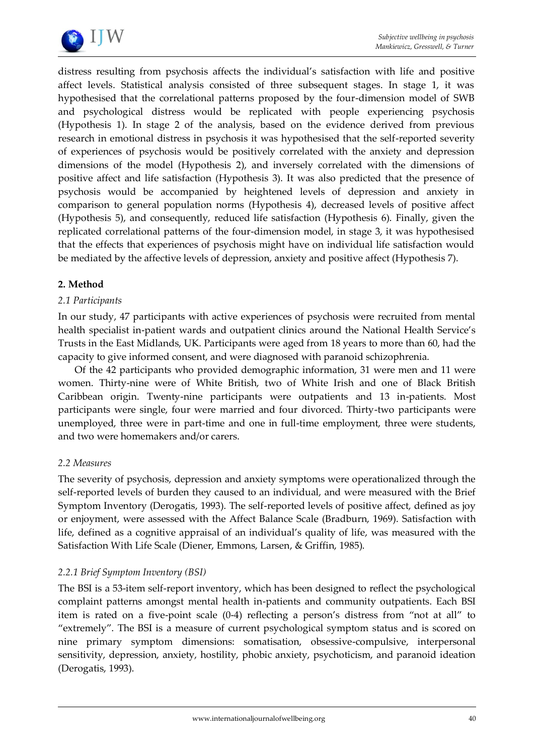

distress resulting from psychosis affects the individual's satisfaction with life and positive affect levels. Statistical analysis consisted of three subsequent stages. In stage 1, it was hypothesised that the correlational patterns proposed by the four-dimension model of SWB and psychological distress would be replicated with people experiencing psychosis (Hypothesis 1). In stage 2 of the analysis, based on the evidence derived from previous research in emotional distress in psychosis it was hypothesised that the self-reported severity of experiences of psychosis would be positively correlated with the anxiety and depression dimensions of the model (Hypothesis 2), and inversely correlated with the dimensions of positive affect and life satisfaction (Hypothesis 3). It was also predicted that the presence of psychosis would be accompanied by heightened levels of depression and anxiety in comparison to general population norms (Hypothesis 4), decreased levels of positive affect (Hypothesis 5), and consequently, reduced life satisfaction (Hypothesis 6). Finally, given the replicated correlational patterns of the four-dimension model, in stage 3, it was hypothesised that the effects that experiences of psychosis might have on individual life satisfaction would be mediated by the affective levels of depression, anxiety and positive affect (Hypothesis 7).

# **2. Method**

## *2.1 Participants*

In our study, 47 participants with active experiences of psychosis were recruited from mental health specialist in-patient wards and outpatient clinics around the National Health Service's Trusts in the East Midlands, UK. Participants were aged from 18 years to more than 60, had the capacity to give informed consent, and were diagnosed with paranoid schizophrenia.

Of the 42 participants who provided demographic information, 31 were men and 11 were women. Thirty-nine were of White British, two of White Irish and one of Black British Caribbean origin. Twenty-nine participants were outpatients and 13 in-patients. Most participants were single, four were married and four divorced. Thirty-two participants were unemployed, three were in part-time and one in full-time employment, three were students, and two were homemakers and/or carers.

## *2.2 Measures*

The severity of psychosis, depression and anxiety symptoms were operationalized through the self-reported levels of burden they caused to an individual, and were measured with the Brief Symptom Inventory (Derogatis, 1993). The self-reported levels of positive affect, defined as joy or enjoyment, were assessed with the Affect Balance Scale (Bradburn, 1969). Satisfaction with life, defined as a cognitive appraisal of an individual's quality of life, was measured with the Satisfaction With Life Scale (Diener, Emmons, Larsen, & Griffin, 1985).

# *2.2.1 Brief Symptom Inventory (BSI)*

The BSI is a 53-item self-report inventory, which has been designed to reflect the psychological complaint patterns amongst mental health in-patients and community outpatients. Each BSI item is rated on a five-point scale (0-4) reflecting a person's distress from 'not at all' to 'extremely'. The BSI is a measure of current psychological symptom status and is scored on nine primary symptom dimensions: somatisation, obsessive-compulsive, interpersonal sensitivity, depression, anxiety, hostility, phobic anxiety, psychoticism, and paranoid ideation (Derogatis, 1993).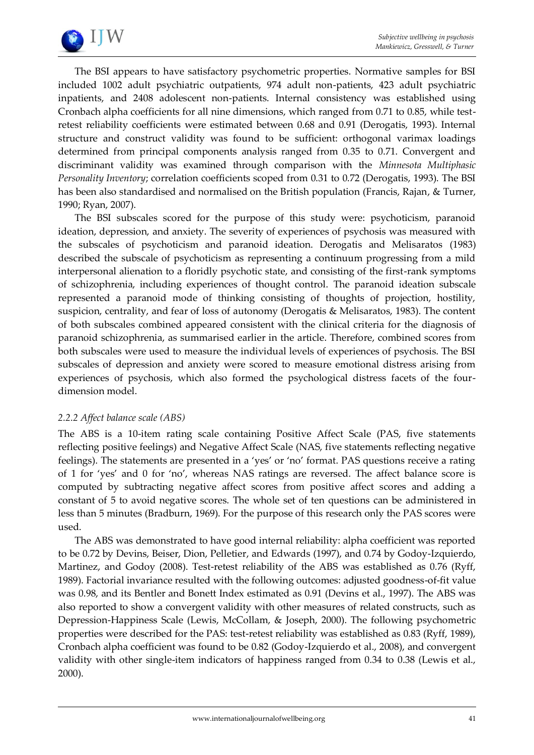

The BSI appears to have satisfactory psychometric properties. Normative samples for BSI included 1002 adult psychiatric outpatients, 974 adult non-patients, 423 adult psychiatric inpatients, and 2408 adolescent non-patients. Internal consistency was established using Cronbach alpha coefficients for all nine dimensions, which ranged from 0.71 to 0.85, while testretest reliability coefficients were estimated between 0.68 and 0.91 (Derogatis, 1993). Internal structure and construct validity was found to be sufficient: orthogonal varimax loadings determined from principal components analysis ranged from 0.35 to 0.71. Convergent and discriminant validity was examined through comparison with the *Minnesota Multiphasic Personality Inventory*; correlation coefficients scoped from 0.31 to 0.72 (Derogatis, 1993). The BSI has been also standardised and normalised on the British population (Francis, Rajan, & Turner, 1990; Ryan, 2007).

The BSI subscales scored for the purpose of this study were: psychoticism, paranoid ideation, depression, and anxiety. The severity of experiences of psychosis was measured with the subscales of psychoticism and paranoid ideation. Derogatis and Melisaratos (1983) described the subscale of psychoticism as representing a continuum progressing from a mild interpersonal alienation to a floridly psychotic state, and consisting of the first-rank symptoms of schizophrenia, including experiences of thought control. The paranoid ideation subscale represented a paranoid mode of thinking consisting of thoughts of projection, hostility, suspicion, centrality, and fear of loss of autonomy (Derogatis & Melisaratos, 1983). The content of both subscales combined appeared consistent with the clinical criteria for the diagnosis of paranoid schizophrenia, as summarised earlier in the article. Therefore, combined scores from both subscales were used to measure the individual levels of experiences of psychosis. The BSI subscales of depression and anxiety were scored to measure emotional distress arising from experiences of psychosis, which also formed the psychological distress facets of the fourdimension model.

## *2.2.2 Affect balance scale (ABS)*

The ABS is a 10-item rating scale containing Positive Affect Scale (PAS, five statements reflecting positive feelings) and Negative Affect Scale (NAS, five statements reflecting negative feelings). The statements are presented in a 'yes' or 'no' format. PAS questions receive a rating of 1 for 'yes' and 0 for 'no', whereas NAS ratings are reversed. The affect balance score is computed by subtracting negative affect scores from positive affect scores and adding a constant of 5 to avoid negative scores. The whole set of ten questions can be administered in less than 5 minutes (Bradburn, 1969). For the purpose of this research only the PAS scores were used.

The ABS was demonstrated to have good internal reliability: alpha coefficient was reported to be 0.72 by Devins, Beiser, Dion, Pelletier, and Edwards (1997), and 0.74 by Godoy-Izquierdo, Martinez, and Godoy (2008). Test-retest reliability of the ABS was established as 0.76 (Ryff, 1989). Factorial invariance resulted with the following outcomes: adjusted goodness-of-fit value was 0.98, and its Bentler and Bonett Index estimated as 0.91 (Devins et al., 1997). The ABS was also reported to show a convergent validity with other measures of related constructs, such as Depression-Happiness Scale (Lewis, McCollam, & Joseph, 2000). The following psychometric properties were described for the PAS: test-retest reliability was established as 0.83 (Ryff, 1989), Cronbach alpha coefficient was found to be 0.82 (Godoy-Izquierdo et al., 2008), and convergent validity with other single-item indicators of happiness ranged from 0.34 to 0.38 (Lewis et al., 2000).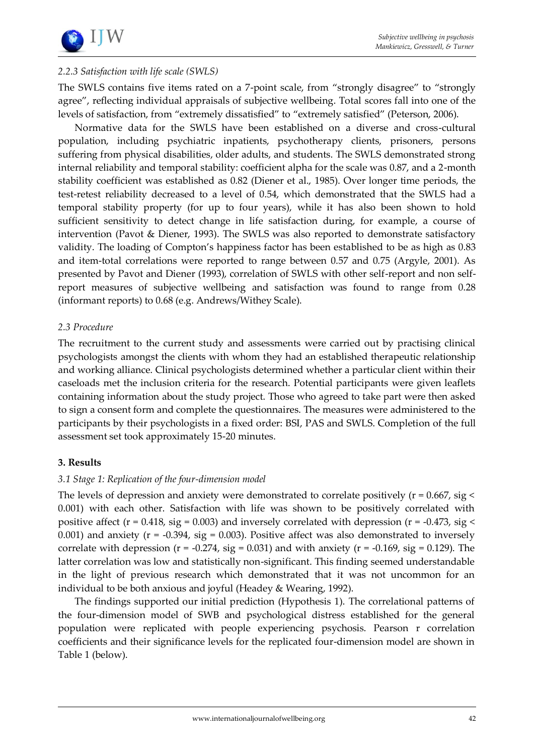

# *2.2.3 Satisfaction with life scale (SWLS)*

The SWLS contains five items rated on a 7-point scale, from 'strongly disagree' to 'strongly agree", reflecting individual appraisals of subjective wellbeing. Total scores fall into one of the levels of satisfaction, from 'extremely dissatisfied' to 'extremely satisfied' (Peterson, 2006).

Normative data for the SWLS have been established on a diverse and cross-cultural population, including psychiatric inpatients, psychotherapy clients, prisoners, persons suffering from physical disabilities, older adults, and students. The SWLS demonstrated strong internal reliability and temporal stability: coefficient alpha for the scale was 0.87, and a 2-month stability coefficient was established as 0.82 (Diener et al., 1985). Over longer time periods, the test-retest reliability decreased to a level of 0.54, which demonstrated that the SWLS had a temporal stability property (for up to four years), while it has also been shown to hold sufficient sensitivity to detect change in life satisfaction during, for example, a course of intervention (Pavot & Diener, 1993). The SWLS was also reported to demonstrate satisfactory validity. The loading of Compton's happiness factor has been established to be as high as 0.83 and item-total correlations were reported to range between 0.57 and 0.75 (Argyle, 2001). As presented by Pavot and Diener (1993), correlation of SWLS with other self-report and non selfreport measures of subjective wellbeing and satisfaction was found to range from 0.28 (informant reports) to 0.68 (e.g. Andrews/Withey Scale).

#### *2.3 Procedure*

The recruitment to the current study and assessments were carried out by practising clinical psychologists amongst the clients with whom they had an established therapeutic relationship and working alliance. Clinical psychologists determined whether a particular client within their caseloads met the inclusion criteria for the research. Potential participants were given leaflets containing information about the study project. Those who agreed to take part were then asked to sign a consent form and complete the questionnaires. The measures were administered to the participants by their psychologists in a fixed order: BSI, PAS and SWLS. Completion of the full assessment set took approximately 15-20 minutes.

## **3. Results**

## *3.1 Stage 1: Replication of the four-dimension model*

The levels of depression and anxiety were demonstrated to correlate positively ( $r = 0.667$ , sig < 0.001) with each other. Satisfaction with life was shown to be positively correlated with positive affect ( $r = 0.418$ , sig = 0.003) and inversely correlated with depression ( $r = -0.473$ , sig < 0.001) and anxiety ( $r = -0.394$ , sig = 0.003). Positive affect was also demonstrated to inversely correlate with depression ( $r = -0.274$ , sig = 0.031) and with anxiety ( $r = -0.169$ , sig = 0.129). The latter correlation was low and statistically non-significant. This finding seemed understandable in the light of previous research which demonstrated that it was not uncommon for an individual to be both anxious and joyful (Headey & Wearing, 1992).

The findings supported our initial prediction (Hypothesis 1). The correlational patterns of the four-dimension model of SWB and psychological distress established for the general population were replicated with people experiencing psychosis. Pearson r correlation coefficients and their significance levels for the replicated four-dimension model are shown in Table 1 (below).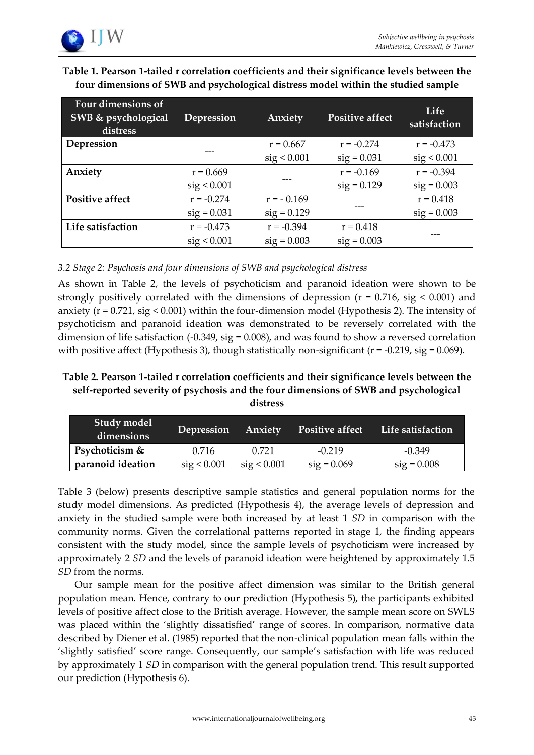

| Table 1. Pearson 1-tailed r correlation coefficients and their significance levels between the |
|------------------------------------------------------------------------------------------------|
| four dimensions of SWB and psychological distress model within the studied sample              |

| <b>Four dimensions of</b><br>SWB & psychological<br>distress | Depression    | Anxiety       | <b>Positive affect</b> | Life<br>satisfaction |
|--------------------------------------------------------------|---------------|---------------|------------------------|----------------------|
| Depression                                                   |               | $r = 0.667$   | $r = -0.274$           | $r = -0.473$         |
|                                                              |               | sig < 0.001   | $sig = 0.031$          | sig < 0.001          |
| Anxiety                                                      | $r = 0.669$   |               | $r = -0.169$           | $r = -0.394$         |
|                                                              | sig < 0.001   |               | $sig = 0.129$          | $sig = 0.003$        |
| <b>Positive affect</b>                                       | $r = -0.274$  | $r = -0.169$  |                        | $r = 0.418$          |
|                                                              | $sig = 0.031$ | $sig = 0.129$ |                        | $sig = 0.003$        |
| Life satisfaction                                            | $r = -0.473$  | $r = -0.394$  | $r = 0.418$            |                      |
|                                                              | sig < 0.001   | $sig = 0.003$ | $sig = 0.003$          |                      |

# *3.2 Stage 2: Psychosis and four dimensions of SWB and psychological distress*

As shown in Table 2, the levels of psychoticism and paranoid ideation were shown to be strongly positively correlated with the dimensions of depression ( $r = 0.716$ , sig < 0.001) and anxiety ( $r = 0.721$ , sig  $\leq 0.001$ ) within the four-dimension model (Hypothesis 2). The intensity of psychoticism and paranoid ideation was demonstrated to be reversely correlated with the dimension of life satisfaction (-0.349, sig = 0.008), and was found to show a reversed correlation with positive affect (Hypothesis 3), though statistically non-significant  $(r = -0.219, sig = 0.069)$ .

## **Table 2. Pearson 1-tailed r correlation coefficients and their significance levels between the self-reported severity of psychosis and the four dimensions of SWB and psychological distress**

| Study model<br>dimensions | Depression  | Anxiety     | <b>Positive affect</b> | Life satisfaction |
|---------------------------|-------------|-------------|------------------------|-------------------|
| Psychoticism &            | 0.716       | 0.721       | $-0.219$               | $-0.349$          |
| paranoid ideation         | sig < 0.001 | sig < 0.001 | $sig = 0.069$          | $sig = 0.008$     |

Table 3 (below) presents descriptive sample statistics and general population norms for the study model dimensions. As predicted (Hypothesis 4), the average levels of depression and anxiety in the studied sample were both increased by at least 1 *SD* in comparison with the community norms. Given the correlational patterns reported in stage 1, the finding appears consistent with the study model, since the sample levels of psychoticism were increased by approximately 2 *SD* and the levels of paranoid ideation were heightened by approximately 1.5 *SD* from the norms.

Our sample mean for the positive affect dimension was similar to the British general population mean. Hence, contrary to our prediction (Hypothesis 5), the participants exhibited levels of positive affect close to the British average. However, the sample mean score on SWLS was placed within the 'slightly dissatisfied' range of scores. In comparison, normative data described by Diener et al. (1985) reported that the non-clinical population mean falls within the 'slightly satisfied' score range. Consequently, our sample's satisfaction with life was reduced by approximately 1 *SD* in comparison with the general population trend. This result supported our prediction (Hypothesis 6).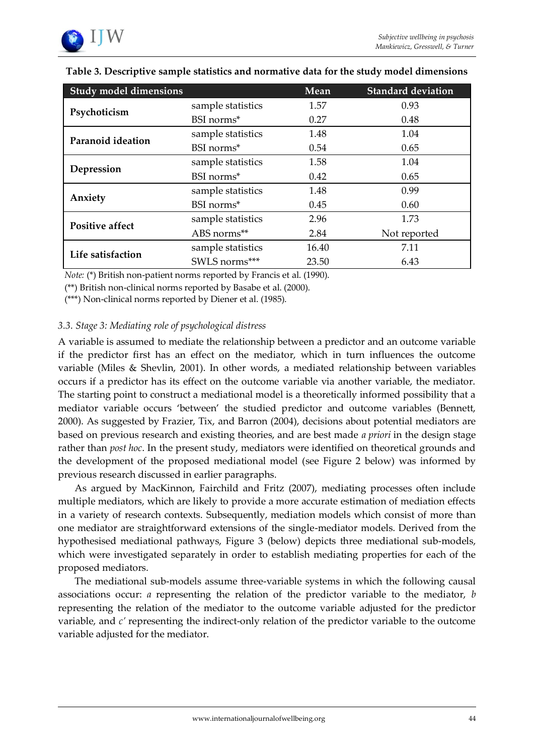| <b>Study model dimensions</b> |                   | Mean  | <b>Standard deviation</b> |
|-------------------------------|-------------------|-------|---------------------------|
| Psychoticism                  | sample statistics | 1.57  | 0.93                      |
|                               | BSI norms*        | 0.27  | 0.48                      |
| Paranoid ideation             | sample statistics | 1.48  | 1.04                      |
|                               | BSI norms*        | 0.54  | 0.65                      |
| Depression                    | sample statistics | 1.58  | 1.04                      |
|                               | BSI norms*        | 0.42  | 0.65                      |
| Anxiety                       | sample statistics | 1.48  | 0.99                      |
|                               | BSI norms*        | 0.45  | 0.60                      |
| <b>Positive affect</b>        | sample statistics | 2.96  | 1.73                      |
|                               | ABS norms**       | 2.84  | Not reported              |
| Life satisfaction             | sample statistics | 16.40 | 7.11                      |
|                               | SWLS norms***     | 23.50 | 6.43                      |

# **Table 3. Descriptive sample statistics and normative data for the study model dimensions**

*Note:* (\*) British non-patient norms reported by Francis et al. (1990).

(\*\*) British non-clinical norms reported by Basabe et al. (2000).

(\*\*\*) Non-clinical norms reported by Diener et al. (1985).

## *3.3. Stage 3: Mediating role of psychological distress*

A variable is assumed to mediate the relationship between a predictor and an outcome variable if the predictor first has an effect on the mediator, which in turn influences the outcome variable (Miles & Shevlin, 2001). In other words, a mediated relationship between variables occurs if a predictor has its effect on the outcome variable via another variable, the mediator. The starting point to construct a mediational model is a theoretically informed possibility that a mediator variable occurs 'between' the studied predictor and outcome variables (Bennett, 2000). As suggested by Frazier, Tix, and Barron (2004), decisions about potential mediators are based on previous research and existing theories, and are best made *a priori* in the design stage rather than *post hoc*. In the present study, mediators were identified on theoretical grounds and the development of the proposed mediational model (see Figure 2 below) was informed by previous research discussed in earlier paragraphs.

As argued by MacKinnon, Fairchild and Fritz (2007), mediating processes often include multiple mediators, which are likely to provide a more accurate estimation of mediation effects in a variety of research contexts. Subsequently, mediation models which consist of more than one mediator are straightforward extensions of the single-mediator models. Derived from the hypothesised mediational pathways, Figure 3 (below) depicts three mediational sub-models, which were investigated separately in order to establish mediating properties for each of the proposed mediators.

The mediational sub-models assume three-variable systems in which the following causal associations occur: *a* representing the relation of the predictor variable to the mediator, *b*  representing the relation of the mediator to the outcome variable adjusted for the predictor variable, and *c'* representing the indirect-only relation of the predictor variable to the outcome variable adjusted for the mediator.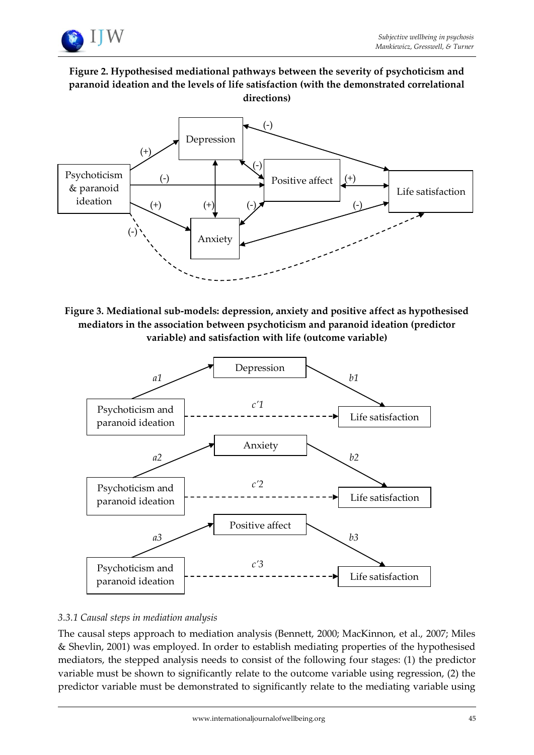

# **Figure 2. Hypothesised mediational pathways between the severity of psychoticism and paranoid ideation and the levels of life satisfaction (with the demonstrated correlational directions)**



**Figure 3. Mediational sub-models: depression, anxiety and positive affect as hypothesised mediators in the association between psychoticism and paranoid ideation (predictor variable) and satisfaction with life (outcome variable)**



# *3.3.1 Causal steps in mediation analysis*

The causal steps approach to mediation analysis (Bennett, 2000; MacKinnon, et al., 2007; Miles & Shevlin, 2001) was employed. In order to establish mediating properties of the hypothesised mediators, the stepped analysis needs to consist of the following four stages: (1) the predictor variable must be shown to significantly relate to the outcome variable using regression, (2) the predictor variable must be demonstrated to significantly relate to the mediating variable using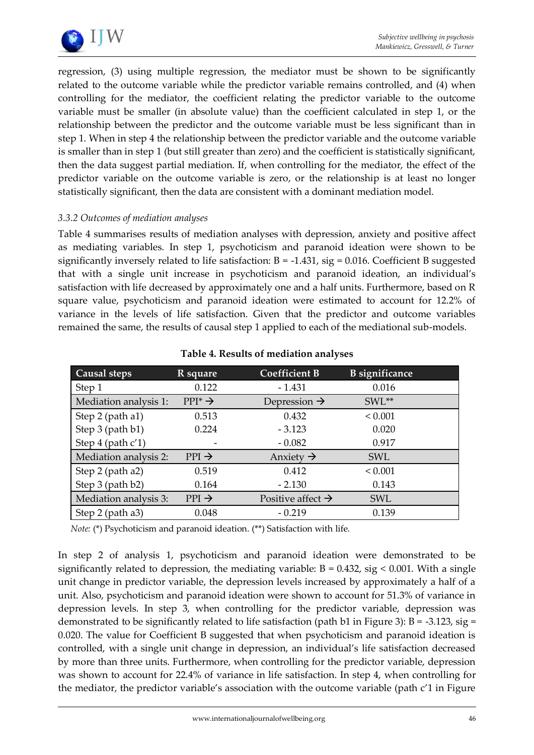

regression, (3) using multiple regression, the mediator must be shown to be significantly related to the outcome variable while the predictor variable remains controlled, and (4) when controlling for the mediator, the coefficient relating the predictor variable to the outcome variable must be smaller (in absolute value) than the coefficient calculated in step 1, or the relationship between the predictor and the outcome variable must be less significant than in step 1. When in step 4 the relationship between the predictor variable and the outcome variable is smaller than in step 1 (but still greater than zero) and the coefficient is statistically significant, then the data suggest partial mediation. If, when controlling for the mediator, the effect of the predictor variable on the outcome variable is zero, or the relationship is at least no longer statistically significant, then the data are consistent with a dominant mediation model.

## *3.3.2 Outcomes of mediation analyses*

Table 4 summarises results of mediation analyses with depression, anxiety and positive affect as mediating variables. In step 1, psychoticism and paranoid ideation were shown to be significantly inversely related to life satisfaction:  $B = -1.431$ , sig = 0.016. Coefficient B suggested that with a single unit increase in psychoticism and paranoid ideation, an individual's satisfaction with life decreased by approximately one and a half units. Furthermore, based on R square value, psychoticism and paranoid ideation were estimated to account for 12.2% of variance in the levels of life satisfaction. Given that the predictor and outcome variables remained the same, the results of causal step 1 applied to each of the mediational sub-models.

| Causal steps          | R square            | <b>Coefficient B</b>          | <b>B</b> significance |  |
|-----------------------|---------------------|-------------------------------|-----------------------|--|
| Step 1                | 0.122               | $-1.431$                      | 0.016                 |  |
| Mediation analysis 1: | $PPI^* \rightarrow$ | Depression $\rightarrow$      | SWL**                 |  |
| Step 2 (path a1)      | 0.513               | 0.432                         | < 0.001               |  |
| Step 3 (path b1)      | 0.224               | $-3.123$                      | 0.020                 |  |
| Step 4 (path c'1)     |                     | $-0.082$                      | 0.917                 |  |
| Mediation analysis 2: | $PPI \rightarrow$   | Anxiety $\rightarrow$         | <b>SWL</b>            |  |
| Step 2 (path a2)      | 0.519               | 0.412                         | < 0.001               |  |
| Step 3 (path b2)      | 0.164               | $-2.130$                      | 0.143                 |  |
| Mediation analysis 3: | $PPI \rightarrow$   | Positive affect $\rightarrow$ | <b>SWL</b>            |  |
| Step 2 (path a3)      | 0.048               | $-0.219$                      | 0.139                 |  |

## **Table 4. Results of mediation analyses**

*Note:* (\*) Psychoticism and paranoid ideation. (\*\*) Satisfaction with life.

In step 2 of analysis 1, psychoticism and paranoid ideation were demonstrated to be significantly related to depression, the mediating variable:  $B = 0.432$ , sig < 0.001. With a single unit change in predictor variable, the depression levels increased by approximately a half of a unit. Also, psychoticism and paranoid ideation were shown to account for 51.3% of variance in depression levels. In step 3, when controlling for the predictor variable, depression was demonstrated to be significantly related to life satisfaction (path b1 in Figure 3): B = -3.123, sig = 0.020. The value for Coefficient B suggested that when psychoticism and paranoid ideation is controlled, with a single unit change in depression, an individual's life satisfaction decreased by more than three units. Furthermore, when controlling for the predictor variable, depression was shown to account for 22.4% of variance in life satisfaction. In step 4, when controlling for the mediator, the predictor variable's association with the outcome variable (path c'1 in Figure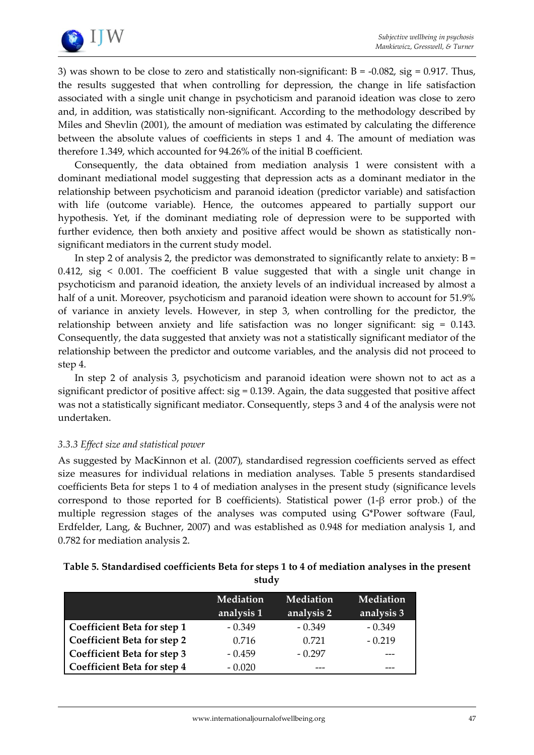

3) was shown to be close to zero and statistically non-significant:  $B = -0.082$ , sig = 0.917. Thus, the results suggested that when controlling for depression, the change in life satisfaction associated with a single unit change in psychoticism and paranoid ideation was close to zero and, in addition, was statistically non-significant. According to the methodology described by Miles and Shevlin (2001), the amount of mediation was estimated by calculating the difference between the absolute values of coefficients in steps 1 and 4. The amount of mediation was therefore 1.349, which accounted for 94.26% of the initial B coefficient.

Consequently, the data obtained from mediation analysis 1 were consistent with a dominant mediational model suggesting that depression acts as a dominant mediator in the relationship between psychoticism and paranoid ideation (predictor variable) and satisfaction with life (outcome variable). Hence, the outcomes appeared to partially support our hypothesis. Yet, if the dominant mediating role of depression were to be supported with further evidence, then both anxiety and positive affect would be shown as statistically nonsignificant mediators in the current study model.

In step 2 of analysis 2, the predictor was demonstrated to significantly relate to anxiety:  $B =$ 0.412, sig < 0.001. The coefficient B value suggested that with a single unit change in psychoticism and paranoid ideation, the anxiety levels of an individual increased by almost a half of a unit. Moreover, psychoticism and paranoid ideation were shown to account for 51.9% of variance in anxiety levels. However, in step 3, when controlling for the predictor, the relationship between anxiety and life satisfaction was no longer significant: sig = 0.143. Consequently, the data suggested that anxiety was not a statistically significant mediator of the relationship between the predictor and outcome variables, and the analysis did not proceed to step 4.

In step 2 of analysis 3, psychoticism and paranoid ideation were shown not to act as a significant predictor of positive affect:  $sig = 0.139$ . Again, the data suggested that positive affect was not a statistically significant mediator. Consequently, steps 3 and 4 of the analysis were not undertaken.

## *3.3.3 Effect size and statistical power*

As suggested by MacKinnon et al. (2007), standardised regression coefficients served as effect size measures for individual relations in mediation analyses. Table 5 presents standardised coefficients Beta for steps 1 to 4 of mediation analyses in the present study (significance levels correspond to those reported for B coefficients). Statistical power (1-β error prob.) of the multiple regression stages of the analyses was computed using G\*Power software (Faul, Erdfelder, Lang, & Buchner, 2007) and was established as 0.948 for mediation analysis 1, and 0.782 for mediation analysis 2.

| Table 5. Standardised coefficients Beta for steps 1 to 4 of mediation analyses in the present |
|-----------------------------------------------------------------------------------------------|
| study                                                                                         |

|                             | <b>Mediation</b><br>analysis 1 | <b>Mediation</b><br>analysis 2 | <b>Mediation</b><br>analysis 3 |
|-----------------------------|--------------------------------|--------------------------------|--------------------------------|
| Coefficient Beta for step 1 | $-0.349$                       | $-0.349$                       | $-0.349$                       |
| Coefficient Beta for step 2 | 0.716                          | 0.721                          | $-0.219$                       |
| Coefficient Beta for step 3 | $-0.459$                       | $-0.297$                       |                                |
| Coefficient Beta for step 4 | $-0.020$                       |                                |                                |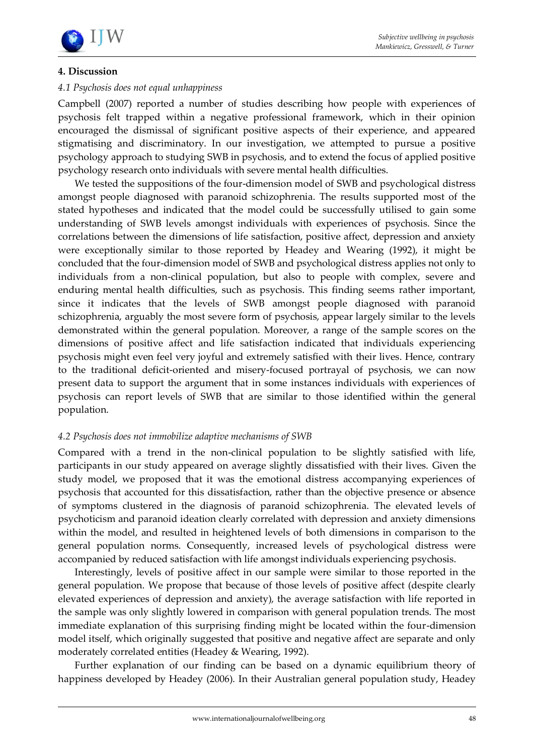

## **4. Discussion**

## *4.1 Psychosis does not equal unhappiness*

Campbell (2007) reported a number of studies describing how people with experiences of psychosis felt trapped within a negative professional framework, which in their opinion encouraged the dismissal of significant positive aspects of their experience, and appeared stigmatising and discriminatory. In our investigation, we attempted to pursue a positive psychology approach to studying SWB in psychosis, and to extend the focus of applied positive psychology research onto individuals with severe mental health difficulties.

We tested the suppositions of the four-dimension model of SWB and psychological distress amongst people diagnosed with paranoid schizophrenia. The results supported most of the stated hypotheses and indicated that the model could be successfully utilised to gain some understanding of SWB levels amongst individuals with experiences of psychosis. Since the correlations between the dimensions of life satisfaction, positive affect, depression and anxiety were exceptionally similar to those reported by Headey and Wearing (1992), it might be concluded that the four-dimension model of SWB and psychological distress applies not only to individuals from a non-clinical population, but also to people with complex, severe and enduring mental health difficulties, such as psychosis. This finding seems rather important, since it indicates that the levels of SWB amongst people diagnosed with paranoid schizophrenia, arguably the most severe form of psychosis, appear largely similar to the levels demonstrated within the general population. Moreover, a range of the sample scores on the dimensions of positive affect and life satisfaction indicated that individuals experiencing psychosis might even feel very joyful and extremely satisfied with their lives. Hence, contrary to the traditional deficit-oriented and misery-focused portrayal of psychosis, we can now present data to support the argument that in some instances individuals with experiences of psychosis can report levels of SWB that are similar to those identified within the general population.

## *4.2 Psychosis does not immobilize adaptive mechanisms of SWB*

Compared with a trend in the non-clinical population to be slightly satisfied with life, participants in our study appeared on average slightly dissatisfied with their lives. Given the study model, we proposed that it was the emotional distress accompanying experiences of psychosis that accounted for this dissatisfaction, rather than the objective presence or absence of symptoms clustered in the diagnosis of paranoid schizophrenia. The elevated levels of psychoticism and paranoid ideation clearly correlated with depression and anxiety dimensions within the model, and resulted in heightened levels of both dimensions in comparison to the general population norms. Consequently, increased levels of psychological distress were accompanied by reduced satisfaction with life amongst individuals experiencing psychosis.

Interestingly, levels of positive affect in our sample were similar to those reported in the general population. We propose that because of those levels of positive affect (despite clearly elevated experiences of depression and anxiety), the average satisfaction with life reported in the sample was only slightly lowered in comparison with general population trends. The most immediate explanation of this surprising finding might be located within the four-dimension model itself, which originally suggested that positive and negative affect are separate and only moderately correlated entities (Headey & Wearing, 1992).

Further explanation of our finding can be based on a dynamic equilibrium theory of happiness developed by Headey (2006). In their Australian general population study, Headey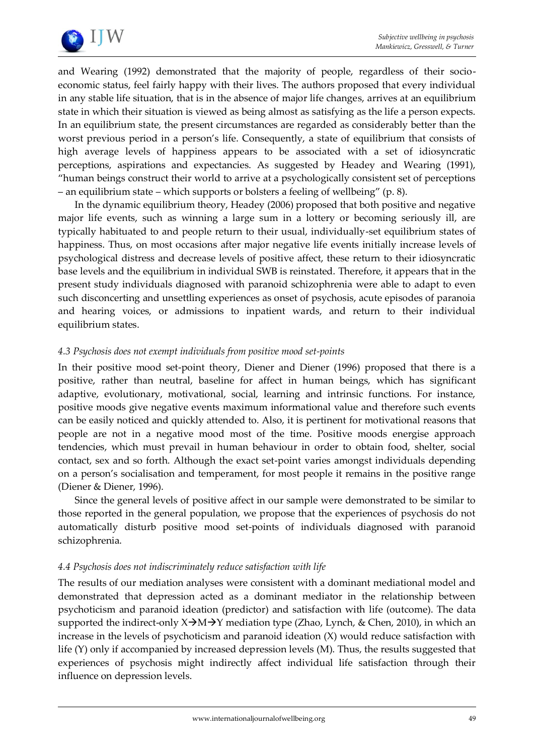

and Wearing (1992) demonstrated that the majority of people, regardless of their socioeconomic status, feel fairly happy with their lives. The authors proposed that every individual in any stable life situation, that is in the absence of major life changes, arrives at an equilibrium state in which their situation is viewed as being almost as satisfying as the life a person expects. In an equilibrium state, the present circumstances are regarded as considerably better than the worst previous period in a person's life. Consequently, a state of equilibrium that consists of high average levels of happiness appears to be associated with a set of idiosyncratic perceptions, aspirations and expectancies. As suggested by Headey and Wearing (1991), 'human beings construct their world to arrive at a psychologically consistent set of perceptions – an equilibrium state – which supports or bolsters a feeling of wellbeing' (p. 8).

In the dynamic equilibrium theory, Headey (2006) proposed that both positive and negative major life events, such as winning a large sum in a lottery or becoming seriously ill, are typically habituated to and people return to their usual, individually-set equilibrium states of happiness. Thus, on most occasions after major negative life events initially increase levels of psychological distress and decrease levels of positive affect, these return to their idiosyncratic base levels and the equilibrium in individual SWB is reinstated. Therefore, it appears that in the present study individuals diagnosed with paranoid schizophrenia were able to adapt to even such disconcerting and unsettling experiences as onset of psychosis, acute episodes of paranoia and hearing voices, or admissions to inpatient wards, and return to their individual equilibrium states.

## *4.3 Psychosis does not exempt individuals from positive mood set-points*

In their positive mood set-point theory, Diener and Diener (1996) proposed that there is a positive, rather than neutral, baseline for affect in human beings, which has significant adaptive, evolutionary, motivational, social, learning and intrinsic functions. For instance, positive moods give negative events maximum informational value and therefore such events can be easily noticed and quickly attended to. Also, it is pertinent for motivational reasons that people are not in a negative mood most of the time. Positive moods energise approach tendencies, which must prevail in human behaviour in order to obtain food, shelter, social contact, sex and so forth. Although the exact set-point varies amongst individuals depending on a person's socialisation and temperament, for most people it remains in the positive range (Diener & Diener, 1996).

Since the general levels of positive affect in our sample were demonstrated to be similar to those reported in the general population, we propose that the experiences of psychosis do not automatically disturb positive mood set-points of individuals diagnosed with paranoid schizophrenia.

## *4.4 Psychosis does not indiscriminately reduce satisfaction with life*

The results of our mediation analyses were consistent with a dominant mediational model and demonstrated that depression acted as a dominant mediator in the relationship between psychoticism and paranoid ideation (predictor) and satisfaction with life (outcome). The data supported the indirect-only  $X\rightarrow M\rightarrow Y$  mediation type (Zhao, Lynch, & Chen, 2010), in which an increase in the levels of psychoticism and paranoid ideation  $(X)$  would reduce satisfaction with life (Y) only if accompanied by increased depression levels (M). Thus, the results suggested that experiences of psychosis might indirectly affect individual life satisfaction through their influence on depression levels.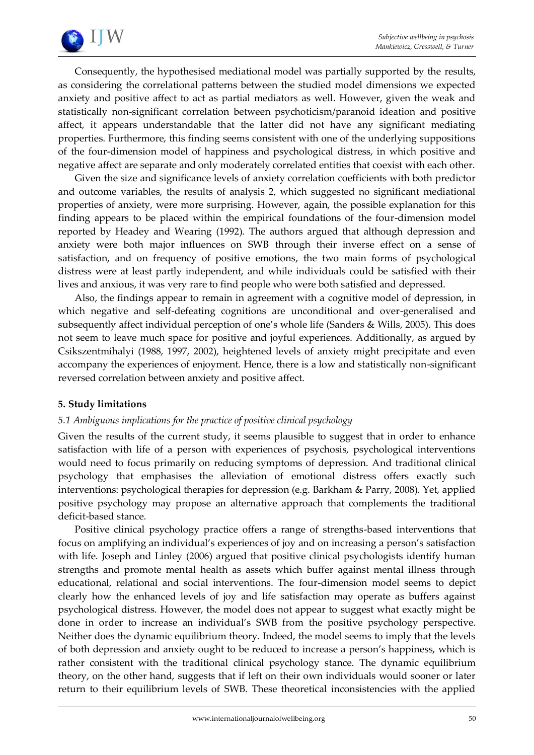

Consequently, the hypothesised mediational model was partially supported by the results, as considering the correlational patterns between the studied model dimensions we expected anxiety and positive affect to act as partial mediators as well. However, given the weak and statistically non-significant correlation between psychoticism/paranoid ideation and positive affect, it appears understandable that the latter did not have any significant mediating properties. Furthermore, this finding seems consistent with one of the underlying suppositions of the four-dimension model of happiness and psychological distress, in which positive and negative affect are separate and only moderately correlated entities that coexist with each other.

Given the size and significance levels of anxiety correlation coefficients with both predictor and outcome variables, the results of analysis 2, which suggested no significant mediational properties of anxiety, were more surprising. However, again, the possible explanation for this finding appears to be placed within the empirical foundations of the four-dimension model reported by Headey and Wearing (1992). The authors argued that although depression and anxiety were both major influences on SWB through their inverse effect on a sense of satisfaction, and on frequency of positive emotions, the two main forms of psychological distress were at least partly independent, and while individuals could be satisfied with their lives and anxious, it was very rare to find people who were both satisfied and depressed.

Also, the findings appear to remain in agreement with a cognitive model of depression, in which negative and self-defeating cognitions are unconditional and over-generalised and subsequently affect individual perception of one's whole life (Sanders & Wills, 2005). This does not seem to leave much space for positive and joyful experiences. Additionally, as argued by Csikszentmihalyi (1988, 1997, 2002), heightened levels of anxiety might precipitate and even accompany the experiences of enjoyment. Hence, there is a low and statistically non-significant reversed correlation between anxiety and positive affect.

## **5. Study limitations**

## *5.1 Ambiguous implications for the practice of positive clinical psychology*

Given the results of the current study, it seems plausible to suggest that in order to enhance satisfaction with life of a person with experiences of psychosis, psychological interventions would need to focus primarily on reducing symptoms of depression. And traditional clinical psychology that emphasises the alleviation of emotional distress offers exactly such interventions: psychological therapies for depression (e.g. Barkham & Parry, 2008). Yet, applied positive psychology may propose an alternative approach that complements the traditional deficit-based stance.

Positive clinical psychology practice offers a range of strengths-based interventions that focus on amplifying an individual's experiences of joy and on increasing a person's satisfaction with life. Joseph and Linley (2006) argued that positive clinical psychologists identify human strengths and promote mental health as assets which buffer against mental illness through educational, relational and social interventions. The four-dimension model seems to depict clearly how the enhanced levels of joy and life satisfaction may operate as buffers against psychological distress. However, the model does not appear to suggest what exactly might be done in order to increase an individual's SWB from the positive psychology perspective. Neither does the dynamic equilibrium theory. Indeed, the model seems to imply that the levels of both depression and anxiety ought to be reduced to increase a person's happiness, which is rather consistent with the traditional clinical psychology stance. The dynamic equilibrium theory, on the other hand, suggests that if left on their own individuals would sooner or later return to their equilibrium levels of SWB. These theoretical inconsistencies with the applied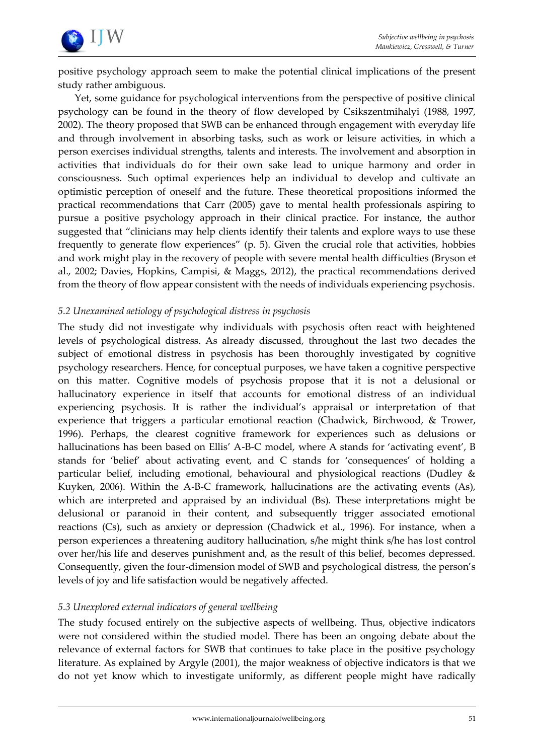

positive psychology approach seem to make the potential clinical implications of the present study rather ambiguous.

Yet, some guidance for psychological interventions from the perspective of positive clinical psychology can be found in the theory of flow developed by Csikszentmihalyi (1988, 1997, 2002). The theory proposed that SWB can be enhanced through engagement with everyday life and through involvement in absorbing tasks, such as work or leisure activities, in which a person exercises individual strengths, talents and interests. The involvement and absorption in activities that individuals do for their own sake lead to unique harmony and order in consciousness. Such optimal experiences help an individual to develop and cultivate an optimistic perception of oneself and the future. These theoretical propositions informed the practical recommendations that Carr (2005) gave to mental health professionals aspiring to pursue a positive psychology approach in their clinical practice. For instance, the author suggested that 'clinicians may help clients identify their talents and explore ways to use these frequently to generate flow experiences' (p. 5). Given the crucial role that activities, hobbies and work might play in the recovery of people with severe mental health difficulties (Bryson et al., 2002; Davies, Hopkins, Campisi, & Maggs, 2012), the practical recommendations derived from the theory of flow appear consistent with the needs of individuals experiencing psychosis.

## *5.2 Unexamined aetiology of psychological distress in psychosis*

The study did not investigate why individuals with psychosis often react with heightened levels of psychological distress. As already discussed, throughout the last two decades the subject of emotional distress in psychosis has been thoroughly investigated by cognitive psychology researchers. Hence, for conceptual purposes, we have taken a cognitive perspective on this matter. Cognitive models of psychosis propose that it is not a delusional or hallucinatory experience in itself that accounts for emotional distress of an individual experiencing psychosis. It is rather the individual's appraisal or interpretation of that experience that triggers a particular emotional reaction (Chadwick, Birchwood, & Trower, 1996). Perhaps, the clearest cognitive framework for experiences such as delusions or hallucinations has been based on Ellis' A-B-C model, where A stands for 'activating event', B stands for 'belief' about activating event, and C stands for 'consequences' of holding a particular belief, including emotional, behavioural and physiological reactions (Dudley & Kuyken, 2006). Within the A-B-C framework, hallucinations are the activating events (As), which are interpreted and appraised by an individual (Bs). These interpretations might be delusional or paranoid in their content, and subsequently trigger associated emotional reactions (Cs), such as anxiety or depression (Chadwick et al., 1996). For instance, when a person experiences a threatening auditory hallucination, s/he might think s/he has lost control over her/his life and deserves punishment and, as the result of this belief, becomes depressed. Consequently, given the four-dimension model of SWB and psychological distress, the person's levels of joy and life satisfaction would be negatively affected.

# *5.3 Unexplored external indicators of general wellbeing*

The study focused entirely on the subjective aspects of wellbeing. Thus, objective indicators were not considered within the studied model. There has been an ongoing debate about the relevance of external factors for SWB that continues to take place in the positive psychology literature. As explained by Argyle (2001), the major weakness of objective indicators is that we do not yet know which to investigate uniformly, as different people might have radically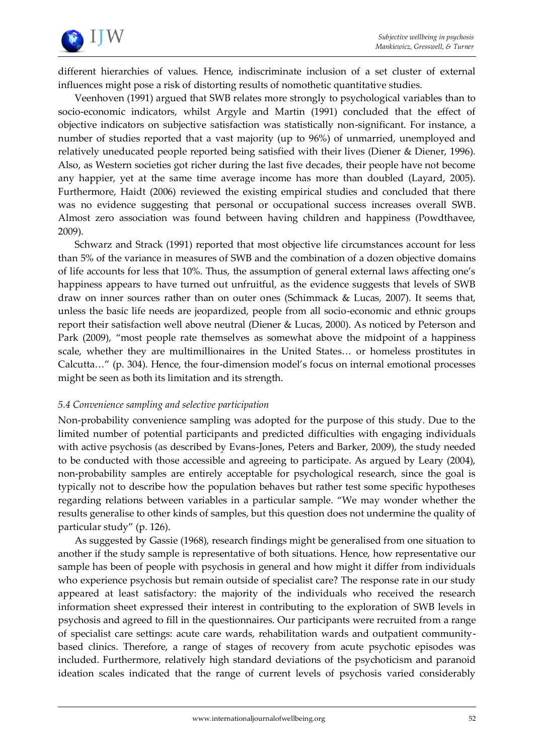

different hierarchies of values. Hence, indiscriminate inclusion of a set cluster of external influences might pose a risk of distorting results of nomothetic quantitative studies.

Veenhoven (1991) argued that SWB relates more strongly to psychological variables than to socio-economic indicators, whilst Argyle and Martin (1991) concluded that the effect of objective indicators on subjective satisfaction was statistically non-significant. For instance, a number of studies reported that a vast majority (up to 96%) of unmarried, unemployed and relatively uneducated people reported being satisfied with their lives (Diener & Diener, 1996). Also, as Western societies got richer during the last five decades, their people have not become any happier, yet at the same time average income has more than doubled (Layard, 2005). Furthermore, Haidt (2006) reviewed the existing empirical studies and concluded that there was no evidence suggesting that personal or occupational success increases overall SWB. Almost zero association was found between having children and happiness (Powdthavee, 2009).

Schwarz and Strack (1991) reported that most objective life circumstances account for less than 5% of the variance in measures of SWB and the combination of a dozen objective domains of life accounts for less that 10%. Thus, the assumption of general external laws affecting one's happiness appears to have turned out unfruitful, as the evidence suggests that levels of SWB draw on inner sources rather than on outer ones (Schimmack & Lucas, 2007). It seems that, unless the basic life needs are jeopardized, people from all socio-economic and ethnic groups report their satisfaction well above neutral (Diener & Lucas, 2000). As noticed by Peterson and Park (2009), "most people rate themselves as somewhat above the midpoint of a happiness scale, whether they are multimillionaires in the United States... or homeless prostitutes in Calcutta..." (p. 304). Hence, the four-dimension model's focus on internal emotional processes might be seen as both its limitation and its strength.

## *5.4 Convenience sampling and selective participation*

Non-probability convenience sampling was adopted for the purpose of this study. Due to the limited number of potential participants and predicted difficulties with engaging individuals with active psychosis (as described by Evans-Jones, Peters and Barker, 2009), the study needed to be conducted with those accessible and agreeing to participate. As argued by Leary (2004), non-probability samples are entirely acceptable for psychological research, since the goal is typically not to describe how the population behaves but rather test some specific hypotheses regarding relations between variables in a particular sample. 'We may wonder whether the results generalise to other kinds of samples, but this question does not undermine the quality of particular study' (p. 126).

As suggested by Gassie (1968), research findings might be generalised from one situation to another if the study sample is representative of both situations. Hence, how representative our sample has been of people with psychosis in general and how might it differ from individuals who experience psychosis but remain outside of specialist care? The response rate in our study appeared at least satisfactory: the majority of the individuals who received the research information sheet expressed their interest in contributing to the exploration of SWB levels in psychosis and agreed to fill in the questionnaires. Our participants were recruited from a range of specialist care settings: acute care wards, rehabilitation wards and outpatient communitybased clinics. Therefore, a range of stages of recovery from acute psychotic episodes was included. Furthermore, relatively high standard deviations of the psychoticism and paranoid ideation scales indicated that the range of current levels of psychosis varied considerably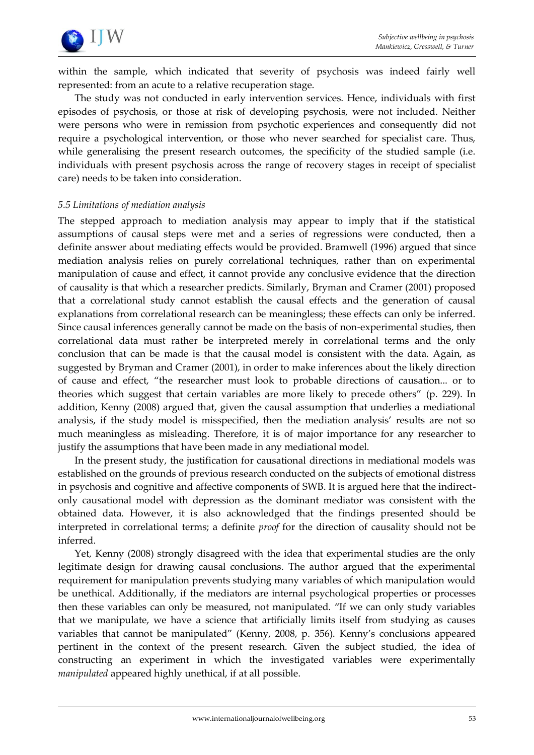

within the sample, which indicated that severity of psychosis was indeed fairly well represented: from an acute to a relative recuperation stage.

The study was not conducted in early intervention services. Hence, individuals with first episodes of psychosis, or those at risk of developing psychosis, were not included. Neither were persons who were in remission from psychotic experiences and consequently did not require a psychological intervention, or those who never searched for specialist care. Thus, while generalising the present research outcomes, the specificity of the studied sample (i.e. individuals with present psychosis across the range of recovery stages in receipt of specialist care) needs to be taken into consideration.

## *5.5 Limitations of mediation analysis*

The stepped approach to mediation analysis may appear to imply that if the statistical assumptions of causal steps were met and a series of regressions were conducted, then a definite answer about mediating effects would be provided. Bramwell (1996) argued that since mediation analysis relies on purely correlational techniques, rather than on experimental manipulation of cause and effect, it cannot provide any conclusive evidence that the direction of causality is that which a researcher predicts. Similarly, Bryman and Cramer (2001) proposed that a correlational study cannot establish the causal effects and the generation of causal explanations from correlational research can be meaningless; these effects can only be inferred. Since causal inferences generally cannot be made on the basis of non-experimental studies, then correlational data must rather be interpreted merely in correlational terms and the only conclusion that can be made is that the causal model is consistent with the data. Again, as suggested by Bryman and Cramer (2001), in order to make inferences about the likely direction of cause and effect, 'the researcher must look to probable directions of causation... or to theories which suggest that certain variables are more likely to precede others' (p. 229). In addition, Kenny (2008) argued that, given the causal assumption that underlies a mediational analysis, if the study model is misspecified, then the mediation analysis' results are not so much meaningless as misleading. Therefore, it is of major importance for any researcher to justify the assumptions that have been made in any mediational model.

In the present study, the justification for causational directions in mediational models was established on the grounds of previous research conducted on the subjects of emotional distress in psychosis and cognitive and affective components of SWB. It is argued here that the indirectonly causational model with depression as the dominant mediator was consistent with the obtained data. However, it is also acknowledged that the findings presented should be interpreted in correlational terms; a definite *proof* for the direction of causality should not be inferred.

Yet, Kenny (2008) strongly disagreed with the idea that experimental studies are the only legitimate design for drawing causal conclusions. The author argued that the experimental requirement for manipulation prevents studying many variables of which manipulation would be unethical. Additionally, if the mediators are internal psychological properties or processes then these variables can only be measured, not manipulated. 'If we can only study variables that we manipulate, we have a science that artificially limits itself from studying as causes variables that cannot be manipulated' (Kenny, 2008, p. 356). Kenny's conclusions appeared pertinent in the context of the present research. Given the subject studied, the idea of constructing an experiment in which the investigated variables were experimentally *manipulated* appeared highly unethical, if at all possible.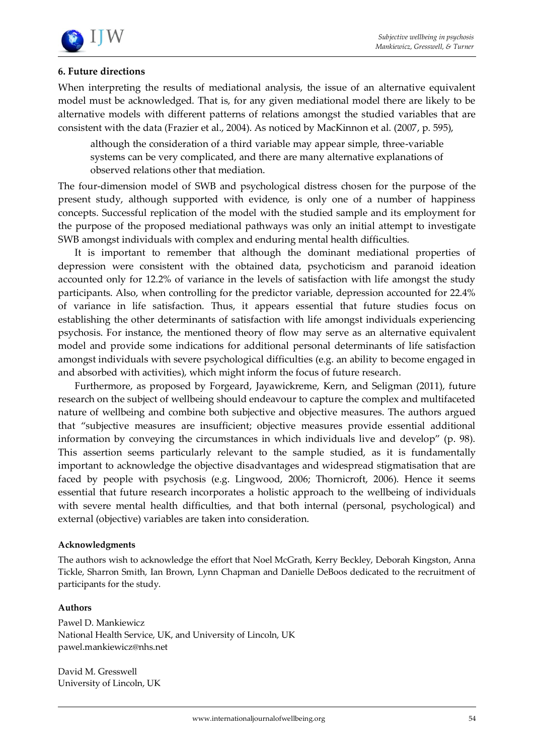

# **6. Future directions**

When interpreting the results of mediational analysis, the issue of an alternative equivalent model must be acknowledged. That is, for any given mediational model there are likely to be alternative models with different patterns of relations amongst the studied variables that are consistent with the data (Frazier et al., 2004). As noticed by MacKinnon et al. (2007, p. 595),

although the consideration of a third variable may appear simple, three-variable systems can be very complicated, and there are many alternative explanations of observed relations other that mediation.

The four-dimension model of SWB and psychological distress chosen for the purpose of the present study, although supported with evidence, is only one of a number of happiness concepts. Successful replication of the model with the studied sample and its employment for the purpose of the proposed mediational pathways was only an initial attempt to investigate SWB amongst individuals with complex and enduring mental health difficulties.

It is important to remember that although the dominant mediational properties of depression were consistent with the obtained data, psychoticism and paranoid ideation accounted only for 12.2% of variance in the levels of satisfaction with life amongst the study participants. Also, when controlling for the predictor variable, depression accounted for 22.4% of variance in life satisfaction. Thus, it appears essential that future studies focus on establishing the other determinants of satisfaction with life amongst individuals experiencing psychosis. For instance, the mentioned theory of flow may serve as an alternative equivalent model and provide some indications for additional personal determinants of life satisfaction amongst individuals with severe psychological difficulties (e.g. an ability to become engaged in and absorbed with activities), which might inform the focus of future research.

Furthermore, as proposed by Forgeard, Jayawickreme, Kern, and Seligman (2011), future research on the subject of wellbeing should endeavour to capture the complex and multifaceted nature of wellbeing and combine both subjective and objective measures. The authors argued that 'subjective measures are insufficient; objective measures provide essential additional information by conveying the circumstances in which individuals live and develop' (p. 98). This assertion seems particularly relevant to the sample studied, as it is fundamentally important to acknowledge the objective disadvantages and widespread stigmatisation that are faced by people with psychosis (e.g. Lingwood, 2006; Thornicroft, 2006). Hence it seems essential that future research incorporates a holistic approach to the wellbeing of individuals with severe mental health difficulties, and that both internal (personal, psychological) and external (objective) variables are taken into consideration.

## **Acknowledgments**

The authors wish to acknowledge the effort that Noel McGrath, Kerry Beckley, Deborah Kingston, Anna Tickle, Sharron Smith, Ian Brown, Lynn Chapman and Danielle DeBoos dedicated to the recruitment of participants for the study.

## **Authors**

Pawel D. Mankiewicz National Health Service, UK, and University of Lincoln, UK pawel.mankiewicz@nhs.net

David M. Gresswell University of Lincoln, UK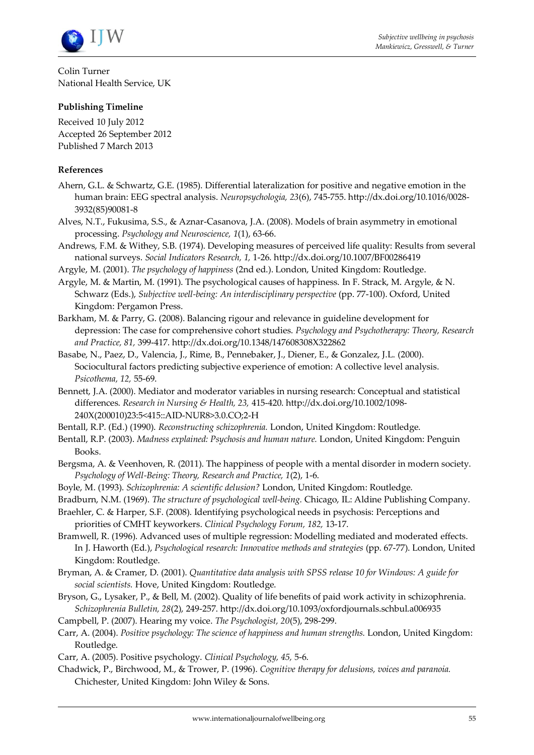

Colin Turner National Health Service, UK

## **Publishing Timeline**

Received 10 July 2012 Accepted 26 September 2012 Published 7 March 2013

#### **References**

- Ahern, G.L. & Schwartz, G.E. (1985). Differential lateralization for positive and negative emotion in the human brain: EEG spectral analysis. *Neuropsychologia, 23*(6), 745-755. http://dx.doi.org/10.1016/0028- 3932(85)90081-8
- Alves, N.T., Fukusima, S.S., & Aznar-Casanova, J.A. (2008). Models of brain asymmetry in emotional processing. *Psychology and Neuroscience, 1*(1), 63-66.
- Andrews, F.M. & Withey, S.B. (1974). Developing measures of perceived life quality: Results from several national surveys. *Social Indicators Research, 1,* 1-26. http://dx.doi.org/10.1007/BF00286419
- Argyle, M. (2001). *The psychology of happiness* (2nd ed.). London, United Kingdom: Routledge.
- Argyle, M. & Martin, M. (1991). The psychological causes of happiness. In F. Strack, M. Argyle, & N. Schwarz (Eds.), *Subjective well-being: An interdisciplinary perspective* (pp. 77-100). Oxford, United Kingdom: Pergamon Press.
- Barkham, M. & Parry, G. (2008). Balancing rigour and relevance in guideline development for depression: The case for comprehensive cohort studies. *Psychology and Psychotherapy: Theory, Research and Practice, 81,* 399-417. http://dx.doi.org/10.1348/147608308X322862
- Basabe, N., Paez, D., Valencia, J., Rime, B., Pennebaker, J., Diener, E., & Gonzalez, J.L. (2000). Sociocultural factors predicting subjective experience of emotion: A collective level analysis. *Psicothema, 12,* 55-69.
- Bennett, J.A. (2000). Mediator and moderator variables in nursing research: Conceptual and statistical differences. *Research in Nursing & Health, 23,* 415-420. http://dx.doi.org/10.1002/1098- 240X(200010)23:5<415::AID-NUR8>3.0.CO;2-H
- Bentall, R.P. (Ed.) (1990). *Reconstructing schizophrenia.* London, United Kingdom: Routledge.
- Bentall, R.P. (2003). *Madness explained: Psychosis and human nature.* London, United Kingdom: Penguin Books.
- Bergsma, A. & Veenhoven, R. (2011). The happiness of people with a mental disorder in modern society. *Psychology of Well-Being: Theory, Research and Practice, 1*(2), 1-6.
- Boyle, M. (1993). *Schizophrenia: A scientific delusion?* London, United Kingdom: Routledge.
- Bradburn, N.M. (1969). *The structure of psychological well-being.* Chicago, IL: Aldine Publishing Company.
- Braehler, C. & Harper, S.F. (2008). Identifying psychological needs in psychosis: Perceptions and priorities of CMHT keyworkers. *Clinical Psychology Forum, 182,* 13-17.
- Bramwell, R. (1996). Advanced uses of multiple regression: Modelling mediated and moderated effects. In J. Haworth (Ed.), *Psychological research: Innovative methods and strategies* (pp. 67-77). London, United Kingdom: Routledge.
- Bryman, A. & Cramer, D. (2001). *Quantitative data analysis with SPSS release 10 for Windows: A guide for social scientists.* Hove, United Kingdom: Routledge.
- Bryson, G., Lysaker, P., & Bell, M. (2002). Quality of life benefits of paid work activity in schizophrenia. *Schizophrenia Bulletin, 28*(2), 249-257. http://dx.doi.org/10.1093/oxfordjournals.schbul.a006935
- Campbell, P. (2007). Hearing my voice. *The Psychologist, 20*(5), 298-299.
- Carr, A. (2004). *Positive psychology: The science of happiness and human strengths.* London, United Kingdom: Routledge.
- Carr, A. (2005). Positive psychology. *Clinical Psychology, 45,* 5-6.
- Chadwick, P., Birchwood, M., & Trower, P. (1996). *Cognitive therapy for delusions, voices and paranoia.*  Chichester, United Kingdom: John Wiley & Sons.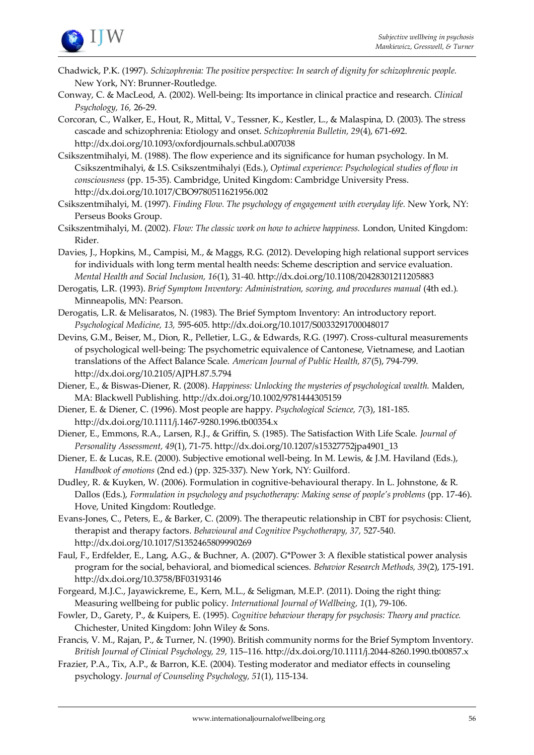

- Chadwick, P.K. (1997). *Schizophrenia: The positive perspective: In search of dignity for schizophrenic people.*  New York, NY: Brunner-Routledge.
- Conway, C. & MacLeod, A. (2002). Well-being: Its importance in clinical practice and research. *Clinical Psychology, 16,* 26-29.
- Corcoran, C., Walker, E., Hout, R., Mittal, V., Tessner, K., Kestler, L., & Malaspina, D. (2003). The stress cascade and schizophrenia: Etiology and onset. *Schizophrenia Bulletin, 29*(4), 671-692. http://dx.doi.org/10.1093/oxfordjournals.schbul.a007038
- Csikszentmihalyi, M. (1988). The flow experience and its significance for human psychology. In M. Csikszentmihalyi, & I.S. Csikszentmihalyi (Eds.), *Optimal experience: Psychological studies of flow in consciousness* (pp. 15-35)*.* Cambridge, United Kingdom: Cambridge University Press. http://dx.doi.org/10.1017/CBO9780511621956.002
- Csikszentmihalyi, M. (1997). *Finding Flow. The psychology of engagement with everyday life.* New York, NY: Perseus Books Group.
- Csikszentmihalyi, M. (2002). *Flow: The classic work on how to achieve happiness.* London, United Kingdom: Rider.
- Davies, J., Hopkins, M., Campisi, M., & Maggs, R.G. (2012). Developing high relational support services for individuals with long term mental health needs: Scheme description and service evaluation. *Mental Health and Social Inclusion, 16*(1), 31-40. http://dx.doi.org/10.1108/20428301211205883
- Derogatis, L.R. (1993). *Brief Symptom Inventory: Administration, scoring, and procedures manual* (4th ed.)*.*  Minneapolis, MN: Pearson.
- Derogatis, L.R. & Melisaratos, N. (1983). The Brief Symptom Inventory: An introductory report. *Psychological Medicine, 13,* 595-605. http://dx.doi.org/10.1017/S0033291700048017
- Devins, G.M., Beiser, M., Dion, R., Pelletier, L.G., & Edwards, R.G. (1997). Cross-cultural measurements of psychological well-being: The psychometric equivalence of Cantonese, Vietnamese, and Laotian translations of the Affect Balance Scale. *American Journal of Public Health, 87*(5), 794-799. http://dx.doi.org/10.2105/AJPH.87.5.794
- Diener, E., & Biswas-Diener, R. (2008). *Happiness: Unlocking the mysteries of psychological wealth.* Malden, MA: Blackwell Publishing. http://dx.doi.org/10.1002/9781444305159
- Diener, E. & Diener, C. (1996). Most people are happy. *Psychological Science, 7*(3), 181-185. http://dx.doi.org/10.1111/j.1467-9280.1996.tb00354.x
- Diener, E., Emmons, R.A., Larsen, R.J., & Griffin, S. (1985). The Satisfaction With Life Scale. *Journal of Personality Assessment, 49*(1), 71-75. http://dx.doi.org/10.1207/s15327752jpa4901\_13
- Diener, E. & Lucas, R.E. (2000). Subjective emotional well-being. In M. Lewis, & J.M. Haviland (Eds.), *Handbook of emotions* (2nd ed.) (pp. 325-337). New York, NY: Guilford.
- Dudley, R. & Kuyken, W. (2006). Formulation in cognitive-behavioural therapy. In L. Johnstone, & R. Dallos (Eds.), *Formulation in psychology and psychotherapy: Making sense of people's problems* (pp. 17-46). Hove, United Kingdom: Routledge.
- Evans-Jones, C., Peters, E., & Barker, C. (2009). The therapeutic relationship in CBT for psychosis: Client, therapist and therapy factors. *Behavioural and Cognitive Psychotherapy, 37,* 527-540. http://dx.doi.org/10.1017/S1352465809990269
- Faul, F., Erdfelder, E., Lang, A.G., & Buchner, A. (2007). G\*Power 3: A flexible statistical power analysis program for the social, behavioral, and biomedical sciences. *Behavior Research Methods, 39*(2), 175-191. http://dx.doi.org/10.3758/BF03193146
- Forgeard, M.J.C., Jayawickreme, E., Kern, M.L., & Seligman, M.E.P. (2011). Doing the right thing: Measuring wellbeing for public policy. *International Journal of Wellbeing, 1*(1), 79-106.
- Fowler, D., Garety, P., & Kuipers, E. (1995). *Cognitive behaviour therapy for psychosis: Theory and practice.*  Chichester, United Kingdom: John Wiley & Sons.
- Francis, V. M., Rajan, P., & Turner, N. (1990). British community norms for the Brief Symptom Inventory. *British Journal of Clinical Psychology, 29,* 115–116. http://dx.doi.org/10.1111/j.2044-8260.1990.tb00857.x
- Frazier, P.A., Tix, A.P., & Barron, K.E. (2004). Testing moderator and mediator effects in counseling psychology. *Journal of Counseling Psychology, 51*(1), 115-134.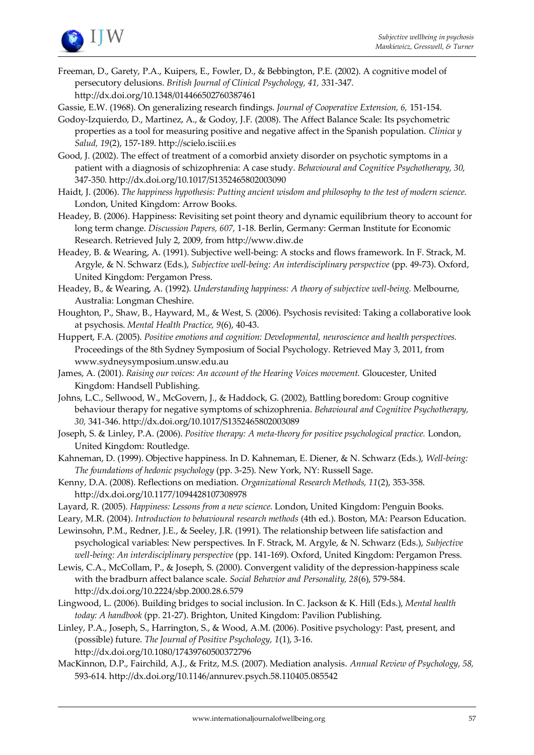

Freeman, D., Garety, P.A., Kuipers, E., Fowler, D., & Bebbington, P.E. (2002). A cognitive model of persecutory delusions. *British Journal of Clinical Psychology, 41,* 331-347. http://dx.doi.org/10.1348/014466502760387461

Gassie, E.W. (1968). On generalizing research findings. *Journal of Cooperative Extension, 6,* 151-154.

- Godoy-Izquierdo, D., Martinez, A., & Godoy, J.F. (2008). The Affect Balance Scale: Its psychometric properties as a tool for measuring positive and negative affect in the Spanish population. *Clinica y Salud, 19*(2), 157-189. http://scielo.isciii.es
- Good, J. (2002). The effect of treatment of a comorbid anxiety disorder on psychotic symptoms in a patient with a diagnosis of schizophrenia: A case study. *Behavioural and Cognitive Psychotherapy, 30,*  347-350. http://dx.doi.org/10.1017/S1352465802003090
- Haidt, J. (2006). *The happiness hypothesis: Putting ancient wisdom and philosophy to the test of modern science.*  London, United Kingdom: Arrow Books.
- Headey, B. (2006). Happiness: Revisiting set point theory and dynamic equilibrium theory to account for long term change. *Discussion Papers, 607,* 1-18. Berlin, Germany: German Institute for Economic Research. Retrieved July 2, 2009, from http://www.diw.de
- Headey, B. & Wearing, A. (1991). Subjective well-being: A stocks and flows framework. In F. Strack, M. Argyle, & N. Schwarz (Eds.), *Subjective well-being: An interdisciplinary perspective* (pp. 49-73). Oxford, United Kingdom: Pergamon Press.

Headey, B., & Wearing, A. (1992). *Understanding happiness: A theory of subjective well-being.* Melbourne, Australia: Longman Cheshire.

- Houghton, P., Shaw, B., Hayward, M., & West, S. (2006). Psychosis revisited: Taking a collaborative look at psychosis. *Mental Health Practice, 9*(6), 40-43.
- Huppert, F.A. (2005). *Positive emotions and cognition: Developmental, neuroscience and health perspectives.* Proceedings of the 8th Sydney Symposium of Social Psychology. Retrieved May 3, 2011, from www.sydneysymposium.unsw.edu.au
- James, A. (2001). *Raising our voices: An account of the Hearing Voices movement.* Gloucester, United Kingdom: Handsell Publishing.
- Johns, L.C., Sellwood, W., McGovern, J., & Haddock, G. (2002), Battling boredom: Group cognitive behaviour therapy for negative symptoms of schizophrenia. *Behavioural and Cognitive Psychotherapy, 30,* 341-346. http://dx.doi.org/10.1017/S1352465802003089
- Joseph, S. & Linley, P.A. (2006). *Positive therapy: A meta-theory for positive psychological practice.* London, United Kingdom: Routledge.
- Kahneman, D. (1999). Objective happiness. In D. Kahneman, E. Diener, & N. Schwarz (Eds.), *Well-being: The foundations of hedonic psychology* (pp. 3-25). New York, NY: Russell Sage.
- Kenny, D.A. (2008). Reflections on mediation. *Organizational Research Methods, 11*(2), 353-358. http://dx.doi.org/10.1177/1094428107308978
- Layard, R. (2005). *Happiness: Lessons from a new science.* London, United Kingdom: Penguin Books.
- Leary, M.R. (2004). *Introduction to behavioural research methods* (4th ed.). Boston, MA: Pearson Education. Lewinsohn, P.M., Redner, J.E., & Seeley, J.R. (1991). The relationship between life satisfaction and

psychological variables: New perspectives. In F. Strack, M. Argyle, & N. Schwarz (Eds.), *Subjective well-being: An interdisciplinary perspective* (pp. 141-169). Oxford, United Kingdom: Pergamon Press.

Lewis, C.A., McCollam, P., & Joseph, S. (2000). Convergent validity of the depression-happiness scale with the bradburn affect balance scale. *Social Behavior and Personality, 28*(6), 579-584. http://dx.doi.org/10.2224/sbp.2000.28.6.579

Lingwood, L. (2006). Building bridges to social inclusion. In C. Jackson & K. Hill (Eds.), *Mental health today: A handbook* (pp. 21-27). Brighton, United Kingdom: Pavilion Publishing.

Linley, P.A., Joseph, S., Harrington, S., & Wood, A.M. (2006). Positive psychology: Past, present, and (possible) future. *The Journal of Positive Psychology, 1*(1), 3-16. http://dx.doi.org/10.1080/17439760500372796

MacKinnon, D.P., Fairchild, A.J., & Fritz, M.S. (2007). Mediation analysis. *Annual Review of Psychology, 58,*  593-614. http://dx.doi.org/10.1146/annurev.psych.58.110405.085542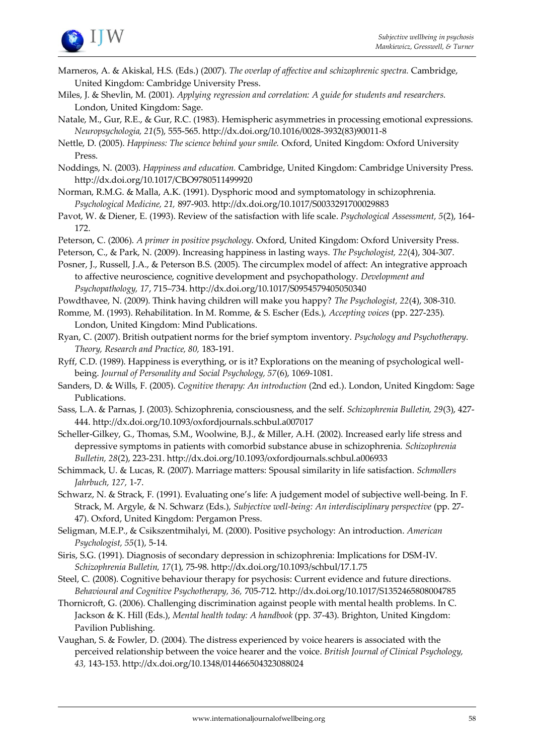

- Marneros, A. & Akiskal, H.S. (Eds.) (2007). *The overlap of affective and schizophrenic spectra.* Cambridge, United Kingdom: Cambridge University Press.
- Miles, J. & Shevlin, M. (2001). *Applying regression and correlation: A guide for students and researchers.*  London, United Kingdom: Sage.
- Natale, M., Gur, R.E., & Gur, R.C. (1983). Hemispheric asymmetries in processing emotional expressions. *Neuropsychologia, 21*(5), 555-565. http://dx.doi.org/10.1016/0028-3932(83)90011-8
- Nettle, D. (2005). *Happiness: The science behind your smile.* Oxford, United Kingdom: Oxford University Press.
- Noddings, N. (2003). *Happiness and education.* Cambridge, United Kingdom: Cambridge University Press. http://dx.doi.org/10.1017/CBO9780511499920
- Norman, R.M.G. & Malla, A.K. (1991). Dysphoric mood and symptomatology in schizophrenia. *Psychological Medicine, 21,* 897-903. http://dx.doi.org/10.1017/S0033291700029883
- Pavot, W. & Diener, E. (1993). Review of the satisfaction with life scale. *Psychological Assessment, 5*(2), 164- 172.
- Peterson, C. (2006). *A primer in positive psychology.* Oxford, United Kingdom: Oxford University Press.
- Peterson, C., & Park, N. (2009). Increasing happiness in lasting ways. *The Psychologist, 22*(4), 304-307.

Posner, J., Russell, J.A., & Peterson B.S. (2005). The circumplex model of affect: An integrative approach to affective neuroscience, cognitive development and psychopathology. *Development and Psychopathology, 17*, 715–734. http://dx.doi.org/10.1017/S0954579405050340

- Powdthavee, N. (2009). Think having children will make you happy? *The Psychologist, 22*(4), 308-310.
- Romme, M. (1993). Rehabilitation. In M. Romme, & S. Escher (Eds.), *Accepting voices* (pp. 227-235)*.*  London, United Kingdom: Mind Publications.
- Ryan, C. (2007). British outpatient norms for the brief symptom inventory. *Psychology and Psychotherapy. Theory, Research and Practice, 80,* 183-191.
- Ryff, C.D. (1989). Happiness is everything, or is it? Explorations on the meaning of psychological wellbeing. *Journal of Personality and Social Psychology, 57*(6), 1069-1081.
- Sanders, D. & Wills, F. (2005). *Cognitive therapy: An introduction* (2nd ed.). London, United Kingdom: Sage Publications.
- Sass, L.A. & Parnas, J. (2003). Schizophrenia, consciousness, and the self. *Schizophrenia Bulletin, 29*(3), 427- 444. http://dx.doi.org/10.1093/oxfordjournals.schbul.a007017
- Scheller-Gilkey, G., Thomas, S.M., Woolwine, B.J., & Miller, A.H. (2002). Increased early life stress and depressive symptoms in patients with comorbid substance abuse in schizophrenia. *Schizophrenia Bulletin, 28*(2), 223-231. http://dx.doi.org/10.1093/oxfordjournals.schbul.a006933
- Schimmack, U. & Lucas, R. (2007). Marriage matters: Spousal similarity in life satisfaction. *Schmollers Jahrbuch, 127,* 1-7.
- Schwarz, N. & Strack, F. (1991). Evaluating one's life: A judgement model of subjective well-being. In F. Strack, M. Argyle, & N. Schwarz (Eds.), *Subjective well-being: An interdisciplinary perspective* (pp. 27- 47). Oxford, United Kingdom: Pergamon Press.
- Seligman, M.E.P., & Csikszentmihalyi, M. (2000). Positive psychology: An introduction. *American Psychologist, 55*(1), 5-14.
- Siris, S.G. (1991). Diagnosis of secondary depression in schizophrenia: Implications for DSM-IV. *Schizophrenia Bulletin, 17*(1), 75-98. http://dx.doi.org/10.1093/schbul/17.1.75
- Steel, C. (2008). Cognitive behaviour therapy for psychosis: Current evidence and future directions. *Behavioural and Cognitive Psychotherapy, 36,* 705-712. http://dx.doi.org/10.1017/S1352465808004785
- Thornicroft, G. (2006). Challenging discrimination against people with mental health problems. In C. Jackson & K. Hill (Eds.), *Mental health today: A handbook* (pp. 37-43). Brighton, United Kingdom: Pavilion Publishing.
- Vaughan, S. & Fowler, D. (2004). The distress experienced by voice hearers is associated with the perceived relationship between the voice hearer and the voice. *British Journal of Clinical Psychology, 43,* 143-153. http://dx.doi.org/10.1348/014466504323088024